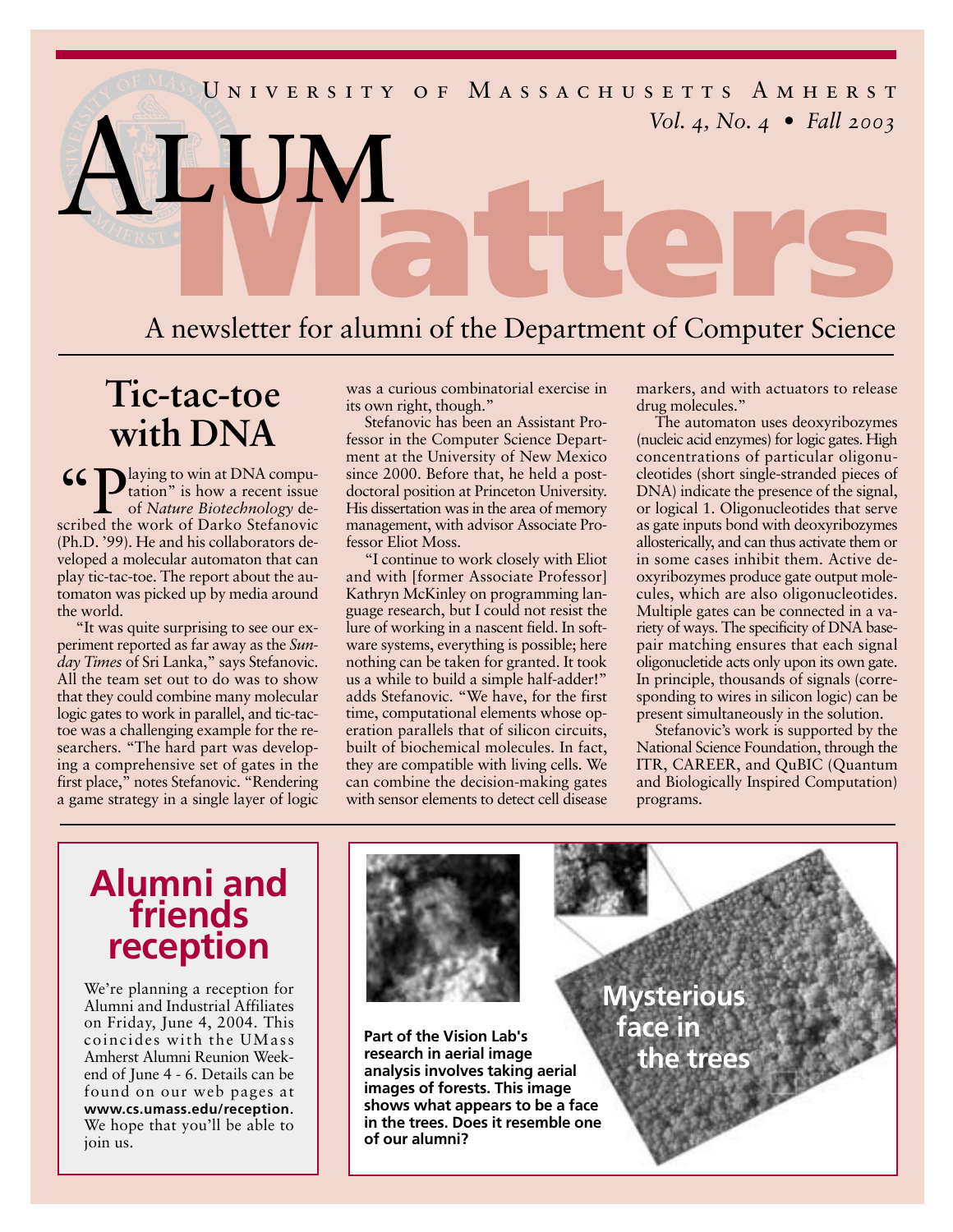

# **Tic-tac-toe with DNA**

**CC** Daying to win at DNA computation" is how a recent issue<br>of *Nature Biotechnology* described the work of Darko Stefanovic tation" is how a recent issue of *Nature Biotechnology* described the work of Darko Stefanovic (Ph.D. '99). He and his collaborators developed a molecular automaton that can play tic-tac-toe. The report about the automaton was picked up by media around the world.

"It was quite surprising to see our experiment reported as far away as the *Sunday Times* of Sri Lanka," says Stefanovic. All the team set out to do was to show that they could combine many molecular logic gates to work in parallel, and tic-tactoe was a challenging example for the researchers. "The hard part was developing a comprehensive set of gates in the first place," notes Stefanovic. "Rendering a game strategy in a single layer of logic was a curious combinatorial exercise in its own right, though."

Stefanovic has been an Assistant Professor in the Computer Science Department at the University of New Mexico since 2000. Before that, he held a postdoctoral position at Princeton University. His dissertation was in the area of memory management, with advisor Associate Professor Eliot Moss.

"I continue to work closely with Eliot and with [former Associate Professor] Kathryn McKinley on programming language research, but I could not resist the lure of working in a nascent field. In software systems, everything is possible; here nothing can be taken for granted. It took us a while to build a simple half-adder!" adds Stefanovic. "We have, for the first time, computational elements whose operation parallels that of silicon circuits, built of biochemical molecules. In fact, they are compatible with living cells. We can combine the decision-making gates with sensor elements to detect cell disease

markers, and with actuators to release drug molecules."

The automaton uses deoxyribozymes (nucleic acid enzymes) for logic gates. High concentrations of particular oligonucleotides (short single-stranded pieces of DNA) indicate the presence of the signal, or logical 1. Oligonucleotides that serve as gate inputs bond with deoxyribozymes allosterically, and can thus activate them or in some cases inhibit them. Active deoxyribozymes produce gate output molecules, which are also oligonucleotides. Multiple gates can be connected in a variety of ways. The specificity of DNA basepair matching ensures that each signal oligonucletide acts only upon its own gate. In principle, thousands of signals (corresponding to wires in silicon logic) can be present simultaneously in the solution.

Stefanovic's work is supported by the National Science Foundation, through the ITR, CAREER, and QuBIC (Quantum and Biologically Inspired Computation) programs.

## **Alumni and friends reception**

We're planning a reception for Alumni and Industrial Affiliates on Friday, June 4, 2004. This coincides with the UMass Amherst Alumni Reunion Weekend of June 4 - 6. Details can be found on our web pages at **www.cs.umass.edu/reception**. We hope that you'll be able to join us.



**Part of the Vision Lab's research in aerial image analysis involves taking aerial images of forests. This image shows what appears to be a face in the trees. Does it resemble one of our alumni?**

**Mysterious face in the trees**